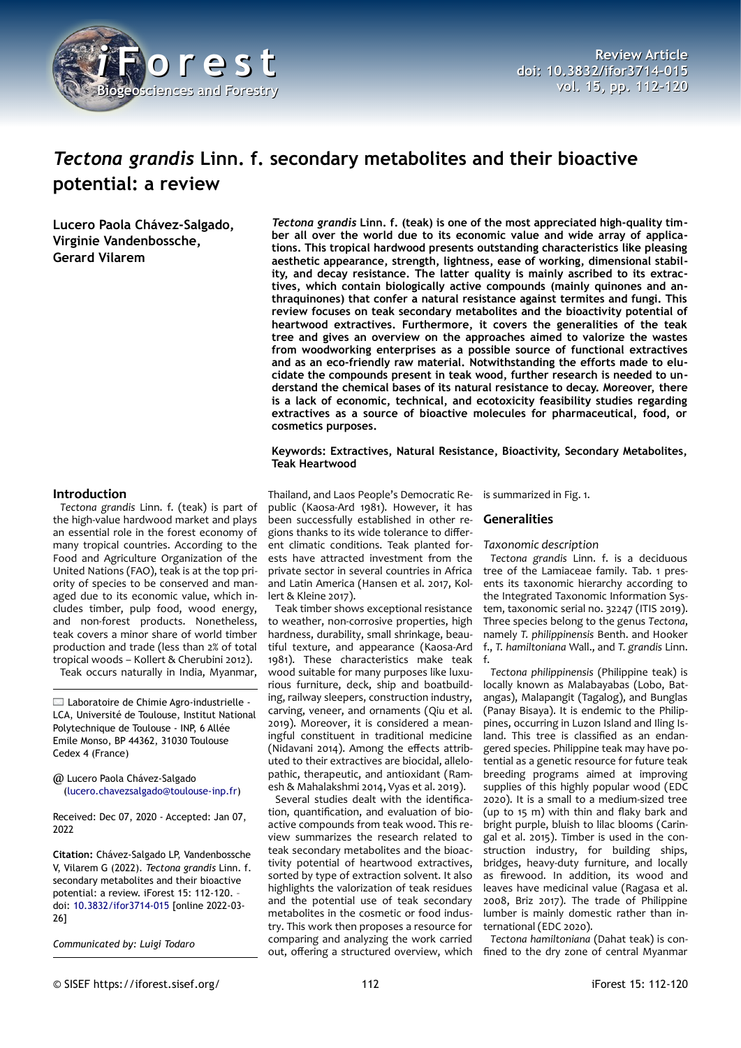

# *Tectona grandis* **Linn. f. secondary metabolites and their bioactive potential: a review**

**Lucero Paola Chávez-Salgado, Virginie Vandenbossche, Gerard Vilarem**

*Tectona grandis* **Linn. f. (teak) is one of the most appreciated high-quality timber all over the world due to its economic value and wide array of applications. This tropical hardwood presents outstanding characteristics like pleasing aesthetic appearance, strength, lightness, ease of working, dimensional stability, and decay resistance. The latter quality is mainly ascribed to its extractives, which contain biologically active compounds (mainly quinones and anthraquinones) that confer a natural resistance against termites and fungi. This review focuses on teak secondary metabolites and the bioactivity potential of heartwood extractives. Furthermore, it covers the generalities of the teak tree and gives an overview on the approaches aimed to valorize the wastes from woodworking enterprises as a possible source of functional extractives and as an eco-friendly raw material. Notwithstanding the efforts made to elucidate the compounds present in teak wood, further research is needed to understand the chemical bases of its natural resistance to decay. Moreover, there is a lack of economic, technical, and ecotoxicity feasibility studies regarding extractives as a source of bioactive molecules for pharmaceutical, food, or cosmetics purposes.**

#### **Keywords: Extractives, Natural Resistance, Bioactivity, Secondary Metabolites, Teak Heartwood**

#### **Introduction**

*Tectona grandis* Linn. f. (teak) is part of the high-value hardwood market and plays an essential role in the forest economy of many tropical countries. According to the Food and Agriculture Organization of the United Nations (FAO), teak is at the top priority of species to be conserved and managed due to its economic value, which includes timber, pulp food, wood energy, and non-forest products. Nonetheless, teak covers a minor share of world timber production and trade (less than 2% of total tropical woods – Kollert & Cherubini 2012). Teak occurs naturally in India, Myanmar,

Laboratoire de Chimie Agro-industrielle - LCA, Université de Toulouse, Institut National Polytechnique de Toulouse - INP, 6 Allée Emile Monso, BP 44362, 31030 Toulouse Cedex 4 (France)

@ Lucero Paola Chávez-Salgado [\(lucero.chavezsalgado@toulouse-inp.fr\)](mailto:lucero.chavezsalgado@toulouse-inp.fr)

Received: Dec 07, 2020 - Accepted: Jan 07, 2022

**Citation:** Chávez-Salgado LP, Vandenbossche V, Vilarem G (2022). *Tectona grandis* Linn. f. secondary metabolites and their bioactive potential: a review. iForest 15: 112-120. – doi: [10.3832/ifor3714-015](http://www.sisef.it/iforest/contents/?id=ifor3714-015) [online 2022-03- 26]

*Communicated by: Luigi Todaro*

Thailand, and Laos People's Democratic Republic (Kaosa-Ard 1981). However, it has been successfully established in other regions thanks to its wide tolerance to different climatic conditions. Teak planted forests have attracted investment from the private sector in several countries in Africa and Latin America (Hansen et al. 2017, Kollert & Kleine 2017).

Teak timber shows exceptional resistance to weather, non-corrosive properties, high hardness, durability, small shrinkage, beautiful texture, and appearance (Kaosa-Ard 1981). These characteristics make teak wood suitable for many purposes like luxurious furniture, deck, ship and boatbuilding, railway sleepers, construction industry, carving, veneer, and ornaments (Qiu et al. 2019). Moreover, it is considered a meaningful constituent in traditional medicine (Nidavani 2014). Among the effects attributed to their extractives are biocidal, allelopathic, therapeutic, and antioxidant (Ramesh & Mahalakshmi 2014, Vyas et al. 2019).

Several studies dealt with the identification, quantification, and evaluation of bioactive compounds from teak wood. This review summarizes the research related to teak secondary metabolites and the bioactivity potential of heartwood extractives, sorted by type of extraction solvent. It also highlights the valorization of teak residues and the potential use of teak secondary metabolites in the cosmetic or food industry. This work then proposes a resource for comparing and analyzing the work carried out, offering a structured overview, which

is summarized in [Fig. 1](#page-1-0).

## **Generalities**

*Taxonomic description*

*Tectona grandis* Linn. f. is a deciduous tree of the Lamiaceae family. [Tab. 1](#page-1-1) presents its taxonomic hierarchy according to the Integrated Taxonomic Information System, taxonomic serial no. 32247 (ITIS 2019). Three species belong to the genus *Tectona*, namely *T. philippinensis* Benth. and Hooker f., *T. hamiltoniana* Wall., and *T. grandis* Linn. f.

*Tectona philippinensis* (Philippine teak) is locally known as Malabayabas (Lobo, Batangas), Malapangit (Tagalog), and Bunglas (Panay Bisaya). It is endemic to the Philippines, occurring in Luzon Island and Iling Island. This tree is classified as an endangered species. Philippine teak may have potential as a genetic resource for future teak breeding programs aimed at improving supplies of this highly popular wood (EDC 2020). It is a small to a medium-sized tree (up to 15 m) with thin and flaky bark and bright purple, bluish to lilac blooms (Caringal et al. 2015). Timber is used in the construction industry, for building ships, bridges, heavy-duty furniture, and locally as firewood. In addition, its wood and leaves have medicinal value (Ragasa et al. 2008, Briz 2017). The trade of Philippine lumber is mainly domestic rather than international (EDC 2020).

*Tectona hamiltoniana* (Dahat teak) is confined to the dry zone of central Myanmar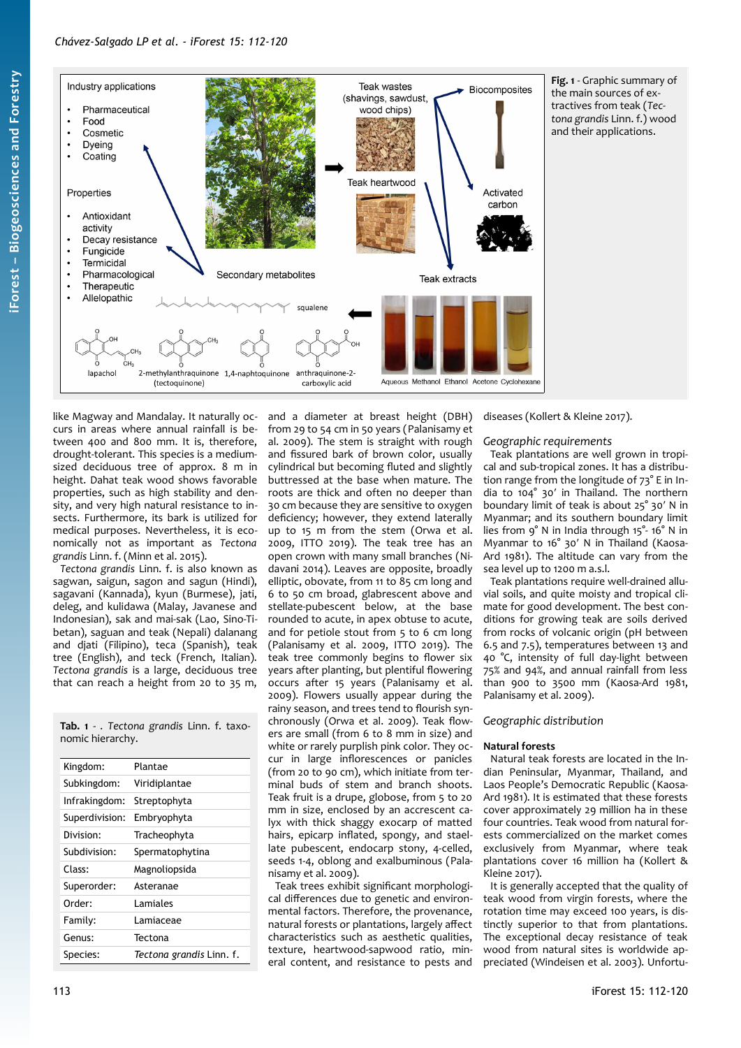

like Magway and Mandalay. It naturally occurs in areas where annual rainfall is between 400 and 800 mm. It is, therefore, drought-tolerant. This species is a mediumsized deciduous tree of approx. 8 m in height. Dahat teak wood shows favorable properties, such as high stability and density, and very high natural resistance to insects. Furthermore, its bark is utilized for medical purposes. Nevertheless, it is economically not as important as *Tectona grandis* Linn. f. (Minn et al. 2015).

*Tectona grandis* Linn. f. is also known as sagwan, saigun, sagon and sagun (Hindi), sagavani (Kannada), kyun (Burmese), jati, deleg, and kulidawa (Malay, Javanese and Indonesian), sak and mai-sak (Lao, Sino-Tibetan), saguan and teak (Nepali) dalanang and djati (Filipino), teca (Spanish), teak tree (English), and teck (French, Italian). *Tectona grandis* is a large, deciduous tree that can reach a height from 20 to 35 m,

<span id="page-1-1"></span>**Tab. 1** - *. Tectona grandis* Linn. f. taxonomic hierarchy.

| Kingdom:       | Plantae                  |  |
|----------------|--------------------------|--|
| Subkingdom:    | Viridiplantae            |  |
| Infrakingdom:  | Streptophyta             |  |
| Superdivision: | Embryophyta              |  |
| Division:      | Tracheophyta             |  |
| Subdivision:   | Spermatophytina          |  |
| Class:         | Magnoliopsida            |  |
| Superorder:    | Asteranae                |  |
| Order:         | I amiales                |  |
| Family:        | l amiaceae               |  |
| Genus:         | Tectona                  |  |
| Species:       | Tectona grandis Linn. f. |  |

and a diameter at breast height (DBH) from 29 to 54 cm in 50 years (Palanisamy et al. 2009). The stem is straight with rough and fissured bark of brown color, usually cylindrical but becoming fluted and slightly buttressed at the base when mature. The roots are thick and often no deeper than 30 cm because they are sensitive to oxygen deficiency; however, they extend laterally up to 15 m from the stem (Orwa et al. 2009, ITTO 2019). The teak tree has an open crown with many small branches (Nidavani 2014). Leaves are opposite, broadly elliptic, obovate, from 11 to 85 cm long and 6 to 50 cm broad, glabrescent above and stellate-pubescent below, at the base rounded to acute, in apex obtuse to acute, and for petiole stout from 5 to 6 cm long (Palanisamy et al. 2009, ITTO 2019). The teak tree commonly begins to flower six years after planting, but plentiful flowering occurs after 15 years (Palanisamy et al. 2009). Flowers usually appear during the rainy season, and trees tend to flourish synchronously (Orwa et al. 2009). Teak flowers are small (from 6 to 8 mm in size) and white or rarely purplish pink color. They occur in large inflorescences or panicles (from 20 to 90 cm), which initiate from terminal buds of stem and branch shoots. Teak fruit is a drupe, globose, from 5 to 20 mm in size, enclosed by an accrescent calyx with thick shaggy exocarp of matted hairs, epicarp inflated, spongy, and staellate pubescent, endocarp stony, 4-celled, seeds 1-4, oblong and exalbuminous (Palanisamy et al. 2009).

Teak trees exhibit significant morphological differences due to genetic and environmental factors. Therefore, the provenance, natural forests or plantations, largely affect characteristics such as aesthetic qualities, texture, heartwood-sapwood ratio, mineral content, and resistance to pests and

<span id="page-1-0"></span>diseases (Kollert & Kleine 2017).

## *Geographic requirements*

Teak plantations are well grown in tropical and sub-tropical zones. It has a distribution range from the longitude of 73° E in India to 104° 30′ in Thailand. The northern boundary limit of teak is about 25° 30′ N in Myanmar; and its southern boundary limit lies from 9° N in India through 15°- 16° N in Myanmar to 16° 30′ N in Thailand (Kaosa-Ard 1981). The altitude can vary from the sea level up to 1200 m a.s.l.

Teak plantations require well-drained alluvial soils, and quite moisty and tropical climate for good development. The best conditions for growing teak are soils derived from rocks of volcanic origin (pH between 6.5 and 7.5), temperatures between 13 and 40 °C, intensity of full day-light between 75% and 94%, and annual rainfall from less than 900 to 3500 mm (Kaosa-Ard 1981, Palanisamy et al. 2009).

## *Geographic distribution*

## **Natural forests**

Natural teak forests are located in the Indian Peninsular, Myanmar, Thailand, and Laos People's Democratic Republic (Kaosa-Ard 1981). It is estimated that these forests cover approximately 29 million ha in these four countries. Teak wood from natural forests commercialized on the market comes exclusively from Myanmar, where teak plantations cover 16 million ha (Kollert & Kleine 2017).

It is generally accepted that the quality of teak wood from virgin forests, where the rotation time may exceed 100 years, is distinctly superior to that from plantations. The exceptional decay resistance of teak wood from natural sites is worldwide appreciated (Windeisen et al. 2003). Unfortu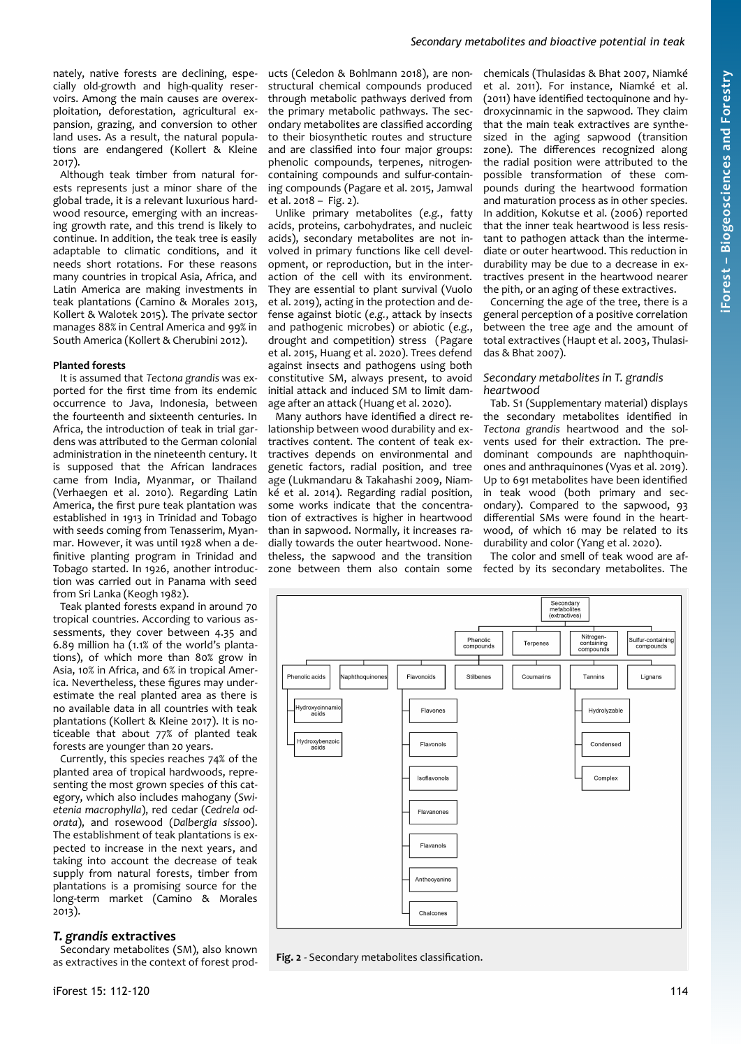nately, native forests are declining, especially old-growth and high-quality reservoirs. Among the main causes are overexploitation, deforestation, agricultural expansion, grazing, and conversion to other land uses. As a result, the natural populations are endangered (Kollert & Kleine 2017).

Although teak timber from natural forests represents just a minor share of the global trade, it is a relevant luxurious hardwood resource, emerging with an increasing growth rate, and this trend is likely to continue. In addition, the teak tree is easily adaptable to climatic conditions, and it needs short rotations. For these reasons many countries in tropical Asia, Africa, and Latin America are making investments in teak plantations (Camino & Morales 2013, Kollert & Walotek 2015). The private sector manages 88% in Central America and 99% in South America (Kollert & Cherubini 2012).

#### **Planted forests**

It is assumed that *Tectona grandis* was exported for the first time from its endemic occurrence to Java, Indonesia, between the fourteenth and sixteenth centuries. In Africa, the introduction of teak in trial gardens was attributed to the German colonial administration in the nineteenth century. It is supposed that the African landraces came from India, Myanmar, or Thailand (Verhaegen et al. 2010). Regarding Latin America, the first pure teak plantation was established in 1913 in Trinidad and Tobago with seeds coming from Tenasserim, Myanmar. However, it was until 1928 when a definitive planting program in Trinidad and Tobago started. In 1926, another introduction was carried out in Panama with seed from Sri Lanka (Keogh 1982).

Teak planted forests expand in around 70 tropical countries. According to various assessments, they cover between 4.35 and 6.89 million ha (1.1% of the world's plantations), of which more than 80% grow in Asia, 10% in Africa, and 6% in tropical America. Nevertheless, these figures may underestimate the real planted area as there is no available data in all countries with teak plantations (Kollert & Kleine 2017). It is noticeable that about 77% of planted teak forests are younger than 20 years.

Currently, this species reaches 74% of the planted area of tropical hardwoods, representing the most grown species of this category, which also includes mahogany (*Swietenia macrophylla*), red cedar (*Cedrela odorata*), and rosewood (*Dalbergia sissoo*). The establishment of teak plantations is expected to increase in the next years, and taking into account the decrease of teak supply from natural forests, timber from plantations is a promising source for the long-term market (Camino & Morales 2013).

## *T. grandis* **extractives**

Secondary metabolites (SM), also known as extractives in the context of forest products (Celedon & Bohlmann 2018), are nonstructural chemical compounds produced through metabolic pathways derived from the primary metabolic pathways. The secondary metabolites are classified according to their biosynthetic routes and structure and are classified into four major groups: phenolic compounds, terpenes, nitrogencontaining compounds and sulfur-containing compounds (Pagare et al. 2015, Jamwal et al. 2018 – [Fig. 2](#page-2-0)).

Unlike primary metabolites (*e.g.*, fatty acids, proteins, carbohydrates, and nucleic acids), secondary metabolites are not involved in primary functions like cell development, or reproduction, but in the interaction of the cell with its environment. They are essential to plant survival (Vuolo et al. 2019), acting in the protection and defense against biotic (*e.g.*, attack by insects and pathogenic microbes) or abiotic (*e.g.*, drought and competition) stress (Pagare et al. 2015, Huang et al. 2020). Trees defend against insects and pathogens using both constitutive SM, always present, to avoid initial attack and induced SM to limit damage after an attack (Huang et al. 2020).

Many authors have identified a direct relationship between wood durability and extractives content. The content of teak extractives depends on environmental and genetic factors, radial position, and tree age (Lukmandaru & Takahashi 2009, Niamké et al. 2014). Regarding radial position, some works indicate that the concentration of extractives is higher in heartwood than in sapwood. Normally, it increases radially towards the outer heartwood. Nonetheless, the sapwood and the transition zone between them also contain some

chemicals (Thulasidas & Bhat 2007, Niamké et al. 2011). For instance, Niamké et al. (2011) have identified tectoquinone and hydroxycinnamic in the sapwood. They claim that the main teak extractives are synthesized in the aging sapwood (transition zone). The differences recognized along the radial position were attributed to the possible transformation of these compounds during the heartwood formation and maturation process as in other species. In addition, Kokutse et al. (2006) reported that the inner teak heartwood is less resistant to pathogen attack than the intermediate or outer heartwood. This reduction in durability may be due to a decrease in extractives present in the heartwood nearer the pith, or an aging of these extractives.

Concerning the age of the tree, there is a general perception of a positive correlation between the tree age and the amount of total extractives (Haupt et al. 2003, Thulasidas & Bhat 2007).

#### *Secondary metabolites in T. grandis heartwood*

Tab. S1 (Supplementary material) displays the secondary metabolites identified in *Tectona grandis* heartwood and the solvents used for their extraction. The predominant compounds are naphthoquinones and anthraquinones (Vyas et al. 2019). Up to 691 metabolites have been identified in teak wood (both primary and secondary). Compared to the sapwood, 93 differential SMs were found in the heartwood, of which 16 may be related to its durability and color (Yang et al. 2020).

The color and smell of teak wood are affected by its secondary metabolites. The



<span id="page-2-0"></span>**Fig. 2** - Secondary metabolites classification.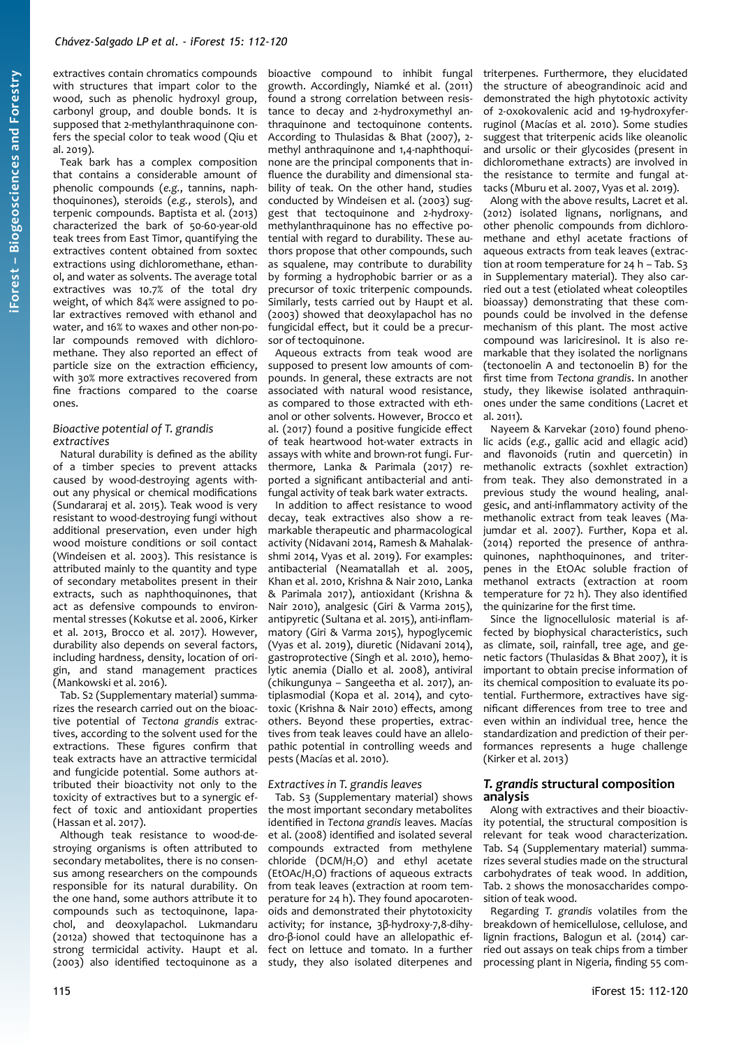extractives contain chromatics compounds with structures that impart color to the wood, such as phenolic hydroxyl group, carbonyl group, and double bonds. It is supposed that 2-methylanthraquinone confers the special color to teak wood (Qiu et al. 2019).

Teak bark has a complex composition that contains a considerable amount of phenolic compounds (*e.g.*, tannins, naphthoquinones), steroids (*e.g.*, sterols), and terpenic compounds. Baptista et al. (2013) characterized the bark of 50-60-year-old teak trees from East Timor, quantifying the extractives content obtained from soxtec extractions using dichloromethane, ethanol, and water as solvents. The average total extractives was 10.7% of the total dry weight, of which 84% were assigned to polar extractives removed with ethanol and water, and 16% to waxes and other non-polar compounds removed with dichloromethane. They also reported an effect of particle size on the extraction efficiency, with 30% more extractives recovered from fine fractions compared to the coarse ones.

## *Bioactive potential of T. grandis extractives*

Natural durability is defined as the ability of a timber species to prevent attacks caused by wood-destroying agents without any physical or chemical modifications (Sundararaj et al. 2015). Teak wood is very resistant to wood-destroying fungi without additional preservation, even under high wood moisture conditions or soil contact (Windeisen et al. 2003). This resistance is attributed mainly to the quantity and type of secondary metabolites present in their extracts, such as naphthoquinones, that act as defensive compounds to environmental stresses (Kokutse et al. 2006, Kirker et al. 2013, Brocco et al. 2017). However, durability also depends on several factors, including hardness, density, location of origin, and stand management practices (Mankowski et al. 2016).

Tab. S2 (Supplementary material) summarizes the research carried out on the bioactive potential of *Tectona grandis* extractives, according to the solvent used for the extractions. These figures confirm that teak extracts have an attractive termicidal and fungicide potential. Some authors attributed their bioactivity not only to the toxicity of extractives but to a synergic effect of toxic and antioxidant properties (Hassan et al. 2017).

Although teak resistance to wood-destroying organisms is often attributed to secondary metabolites, there is no consensus among researchers on the compounds responsible for its natural durability. On the one hand, some authors attribute it to compounds such as tectoquinone, lapachol, and deoxylapachol. Lukmandaru (2012a) showed that tectoquinone has a strong termicidal activity. Haupt et al. (2003) also identified tectoquinone as a

bioactive compound to inhibit fungal growth. Accordingly, Niamké et al. (2011) found a strong correlation between resistance to decay and 2-hydroxymethyl anthraquinone and tectoquinone contents. According to Thulasidas & Bhat (2007), 2 methyl anthraquinone and 1,4-naphthoquinone are the principal components that influence the durability and dimensional stability of teak. On the other hand, studies conducted by Windeisen et al. (2003) suggest that tectoquinone and 2-hydroxymethylanthraquinone has no effective potential with regard to durability. These authors propose that other compounds, such as squalene, may contribute to durability by forming a hydrophobic barrier or as a precursor of toxic triterpenic compounds. Similarly, tests carried out by Haupt et al. (2003) showed that deoxylapachol has no fungicidal effect, but it could be a precursor of tectoquinone.

Aqueous extracts from teak wood are supposed to present low amounts of compounds. In general, these extracts are not associated with natural wood resistance, as compared to those extracted with ethanol or other solvents. However, Brocco et al. (2017) found a positive fungicide effect of teak heartwood hot-water extracts in assays with white and brown-rot fungi. Furthermore, Lanka & Parimala (2017) reported a significant antibacterial and antifungal activity of teak bark water extracts.

In addition to affect resistance to wood decay, teak extractives also show a remarkable therapeutic and pharmacological activity (Nidavani 2014, Ramesh & Mahalakshmi 2014, Vyas et al. 2019). For examples: antibacterial (Neamatallah et al. 2005, Khan et al. 2010, Krishna & Nair 2010, Lanka & Parimala 2017), antioxidant (Krishna & Nair 2010), analgesic (Giri & Varma 2015), antipyretic (Sultana et al. 2015), anti-inflammatory (Giri & Varma 2015), hypoglycemic (Vyas et al. 2019), diuretic (Nidavani 2014), gastroprotective (Singh et al. 2010), hemolytic anemia (Diallo et al. 2008), antiviral (chikungunya – Sangeetha et al. 2017), antiplasmodial (Kopa et al. 2014), and cytotoxic (Krishna & Nair 2010) effects, among others. Beyond these properties, extractives from teak leaves could have an allelopathic potential in controlling weeds and pests (Macías et al. 2010).

## *Extractives in T. grandis leaves*

Tab. S3 (Supplementary material) shows the most important secondary metabolites identified in *Tectona grandis* leaves. Macías et al. (2008) identified and isolated several compounds extracted from methylene chloride (DCM/H<sub>2</sub>O) and ethyl acetate (EtOAc/H<sub>2</sub>O) fractions of aqueous extracts from teak leaves (extraction at room temperature for 24 h). They found apocarotenoids and demonstrated their phytotoxicity activity; for instance, 3β-hydroxy-7,8-dihydro-β-ionol could have an allelopathic effect on lettuce and tomato. In a further study, they also isolated diterpenes and

triterpenes. Furthermore, they elucidated the structure of abeograndinoic acid and demonstrated the high phytotoxic activity of 2-oxokovalenic acid and 19-hydroxyferruginol (Macías et al. 2010). Some studies suggest that triterpenic acids like oleanolic and ursolic or their glycosides (present in dichloromethane extracts) are involved in the resistance to termite and fungal attacks (Mburu et al. 2007, Vyas et al. 2019).

Along with the above results, Lacret et al. (2012) isolated lignans, norlignans, and other phenolic compounds from dichloromethane and ethyl acetate fractions of aqueous extracts from teak leaves (extraction at room temperature for 24 h – Tab. S3 in Supplementary material). They also carried out a test (etiolated wheat coleoptiles bioassay) demonstrating that these compounds could be involved in the defense mechanism of this plant. The most active compound was lariciresinol. It is also remarkable that they isolated the norlignans (tectonoelin A and tectonoelin B) for the first time from *Tectona grandis*. In another study, they likewise isolated anthraquinones under the same conditions (Lacret et al. 2011).

Nayeem & Karvekar (2010) found phenolic acids (*e.g.*, gallic acid and ellagic acid) and flavonoids (rutin and quercetin) in methanolic extracts (soxhlet extraction) from teak. They also demonstrated in a previous study the wound healing, analgesic, and anti-inflammatory activity of the methanolic extract from teak leaves (Majumdar et al. 2007). Further, Kopa et al. (2014) reported the presence of anthraquinones, naphthoquinones, and triterpenes in the EtOAc soluble fraction of methanol extracts (extraction at room temperature for 72 h). They also identified the quinizarine for the first time.

Since the lignocellulosic material is affected by biophysical characteristics, such as climate, soil, rainfall, tree age, and genetic factors (Thulasidas & Bhat 2007), it is important to obtain precise information of its chemical composition to evaluate its potential. Furthermore, extractives have significant differences from tree to tree and even within an individual tree, hence the standardization and prediction of their performances represents a huge challenge (Kirker et al. 2013)

## *T. grandis* **structural composition analysis**

Along with extractives and their bioactivity potential, the structural composition is relevant for teak wood characterization. Tab. S4 (Supplementary material) summarizes several studies made on the structural carbohydrates of teak wood. In addition, [Tab. 2](#page-4-0) shows the monosaccharides composition of teak wood.

Regarding *T. grandis* volatiles from the breakdown of hemicellulose, cellulose, and lignin fractions, Balogun et al. (2014) carried out assays on teak chips from a timber processing plant in Nigeria, finding 55 com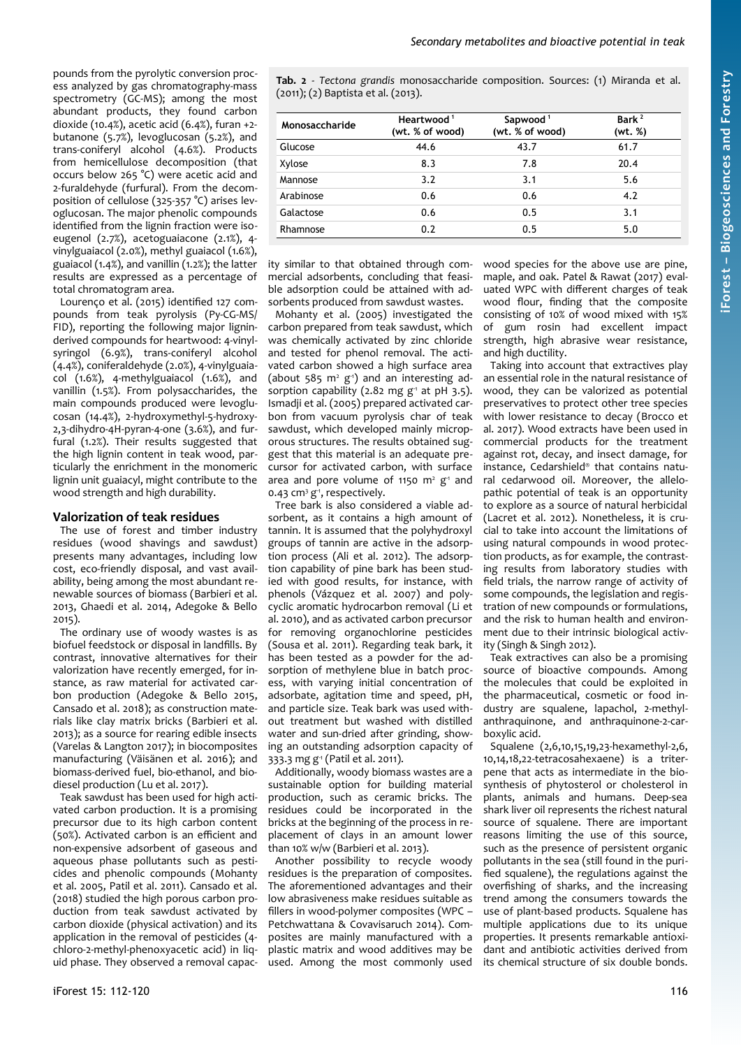<span id="page-4-0"></span>**Tab. 2** - *Tectona grandis* monosaccharide composition. Sources: (1) Miranda et al. (2011); (2) Baptista et al. (2013).

| Monosaccharide | Heartwood <sup>1</sup><br>(wt. % of wood) | Sapwood <sup>1</sup><br>(wt. % of wood) | Bark <sup>2</sup><br>(wt. %) |
|----------------|-------------------------------------------|-----------------------------------------|------------------------------|
| Glucose        | 44.6                                      | 43.7                                    | 61.7                         |
| Xylose         | 8.3                                       | 7.8                                     | 20.4                         |
| Mannose        | 3.2                                       | 3.1                                     | 5.6                          |
| Arabinose      | 0.6                                       | 0.6                                     | 4.2                          |
| Galactose      | 0.6                                       | 0.5                                     | 3.1                          |
| Rhamnose       | 0.2                                       | 0.5                                     | 5.0                          |

ity similar to that obtained through commercial adsorbents, concluding that feasible adsorption could be attained with adsorbents produced from sawdust wastes.

Mohanty et al. (2005) investigated the carbon prepared from teak sawdust, which was chemically activated by zinc chloride and tested for phenol removal. The activated carbon showed a high surface area (about 585  $m^2$   $g^{\text{-}1}$ ) and an interesting adsorption capability (2.82 mg  $g<sup>-1</sup>$  at pH 3.5). Ismadji et al. (2005) prepared activated carbon from vacuum pyrolysis char of teak sawdust, which developed mainly microporous structures. The results obtained suggest that this material is an adequate precursor for activated carbon, with surface area and pore volume of 1150  $m^2$   $g^4$  and 0.43 cm<sup>3</sup> g<sup>1</sup>, respectively.

Tree bark is also considered a viable adsorbent, as it contains a high amount of tannin. It is assumed that the polyhydroxyl groups of tannin are active in the adsorption process (Ali et al. 2012). The adsorption capability of pine bark has been studied with good results, for instance, with phenols (Vázquez et al. 2007) and polycyclic aromatic hydrocarbon removal (Li et al. 2010), and as activated carbon precursor for removing organochlorine pesticides (Sousa et al. 2011). Regarding teak bark, it has been tested as a powder for the adsorption of methylene blue in batch process, with varying initial concentration of adsorbate, agitation time and speed, pH, and particle size. Teak bark was used without treatment but washed with distilled water and sun-dried after grinding, showing an outstanding adsorption capacity of 333.3 mg g<sup>1</sup> (Patil et al. 2011).

Additionally, woody biomass wastes are a sustainable option for building material production, such as ceramic bricks. The residues could be incorporated in the bricks at the beginning of the process in replacement of clays in an amount lower than 10% w/w (Barbieri et al. 2013).

Another possibility to recycle woody residues is the preparation of composites. The aforementioned advantages and their low abrasiveness make residues suitable as fillers in wood-polymer composites (WPC – Petchwattana & Covavisaruch 2014). Composites are mainly manufactured with a plastic matrix and wood additives may be used. Among the most commonly used wood species for the above use are pine, maple, and oak. Patel & Rawat (2017) evaluated WPC with different charges of teak wood flour, finding that the composite consisting of 10% of wood mixed with 15% of gum rosin had excellent impact strength, high abrasive wear resistance, and high ductility.

Taking into account that extractives play an essential role in the natural resistance of wood, they can be valorized as potential preservatives to protect other tree species with lower resistance to decay (Brocco et al. 2017). Wood extracts have been used in commercial products for the treatment against rot, decay, and insect damage, for instance, Cedarshield® that contains natural cedarwood oil. Moreover, the allelopathic potential of teak is an opportunity to explore as a source of natural herbicidal (Lacret et al. 2012). Nonetheless, it is crucial to take into account the limitations of using natural compounds in wood protection products, as for example, the contrasting results from laboratory studies with field trials, the narrow range of activity of some compounds, the legislation and registration of new compounds or formulations, and the risk to human health and environment due to their intrinsic biological activity (Singh & Singh 2012).

Teak extractives can also be a promising source of bioactive compounds. Among the molecules that could be exploited in the pharmaceutical, cosmetic or food industry are squalene, lapachol, 2-methylanthraquinone, and anthraquinone-2-carboxylic acid.

Squalene (2,6,10,15,19,23-hexamethyl-2,6, 10,14,18,22-tetracosahexaene) is a triterpene that acts as intermediate in the biosynthesis of phytosterol or cholesterol in plants, animals and humans. Deep-sea shark liver oil represents the richest natural source of squalene. There are important reasons limiting the use of this source, such as the presence of persistent organic pollutants in the sea (still found in the purified squalene), the regulations against the overfishing of sharks, and the increasing trend among the consumers towards the use of plant-based products. Squalene has multiple applications due to its unique properties. It presents remarkable antioxidant and antibiotic activities derived from its chemical structure of six double bonds.

pounds from the pyrolytic conversion process analyzed by gas chromatography-mass spectrometry (GC-MS); among the most abundant products, they found carbon dioxide (10.4%), acetic acid (6.4%), furan +2 butanone (5.7%), levoglucosan (5.2%), and trans-coniferyl alcohol (4.6%). Products from hemicellulose decomposition (that occurs below 265 °C) were acetic acid and 2-furaldehyde (furfural). From the decomposition of cellulose (325-357 °C) arises levoglucosan. The major phenolic compounds identified from the lignin fraction were isoeugenol (2.7%), acetoguaiacone (2.1%), 4 vinylguaiacol (2.0%), methyl guaiacol (1.6%), guaiacol (1.4%), and vanillin (1.2%); the latter results are expressed as a percentage of total chromatogram area.

Lourenço et al. (2015) identified 127 compounds from teak pyrolysis (Py-CG-MS/ FID), reporting the following major ligninderived compounds for heartwood: 4-vinylsyringol (6.9%), trans-coniferyl alcohol (4.4%), coniferaldehyde (2.0%), 4-vinylguaiacol (1.6%), 4-methylguaiacol (1.6%), and vanillin (1.5%). From polysaccharides, the main compounds produced were levoglucosan (14.4%), 2-hydroxymethyl-5-hydroxy-2,3-dihydro-4H-pyran-4-one (3.6%), and furfural (1.2%). Their results suggested that the high lignin content in teak wood, particularly the enrichment in the monomeric lignin unit guaiacyl, might contribute to the wood strength and high durability.

# **Valorization of teak residues**

The use of forest and timber industry residues (wood shavings and sawdust) presents many advantages, including low cost, eco-friendly disposal, and vast availability, being among the most abundant renewable sources of biomass (Barbieri et al. 2013, Ghaedi et al. 2014, Adegoke & Bello 2015).

The ordinary use of woody wastes is as biofuel feedstock or disposal in landfills. By contrast, innovative alternatives for their valorization have recently emerged, for instance, as raw material for activated carbon production (Adegoke & Bello 2015, Cansado et al. 2018); as construction materials like clay matrix bricks (Barbieri et al. 2013); as a source for rearing edible insects (Varelas & Langton 2017); in biocomposites manufacturing (Väisänen et al. 2016); and biomass-derived fuel, bio-ethanol, and biodiesel production (Lu et al. 2017).

Teak sawdust has been used for high activated carbon production. It is a promising precursor due to its high carbon content (50%). Activated carbon is an efficient and non-expensive adsorbent of gaseous and aqueous phase pollutants such as pesticides and phenolic compounds (Mohanty et al. 2005, Patil et al. 2011). Cansado et al. (2018) studied the high porous carbon production from teak sawdust activated by carbon dioxide (physical activation) and its application in the removal of pesticides (4 chloro-2-methyl-phenoxyacetic acid) in liquid phase. They observed a removal capac-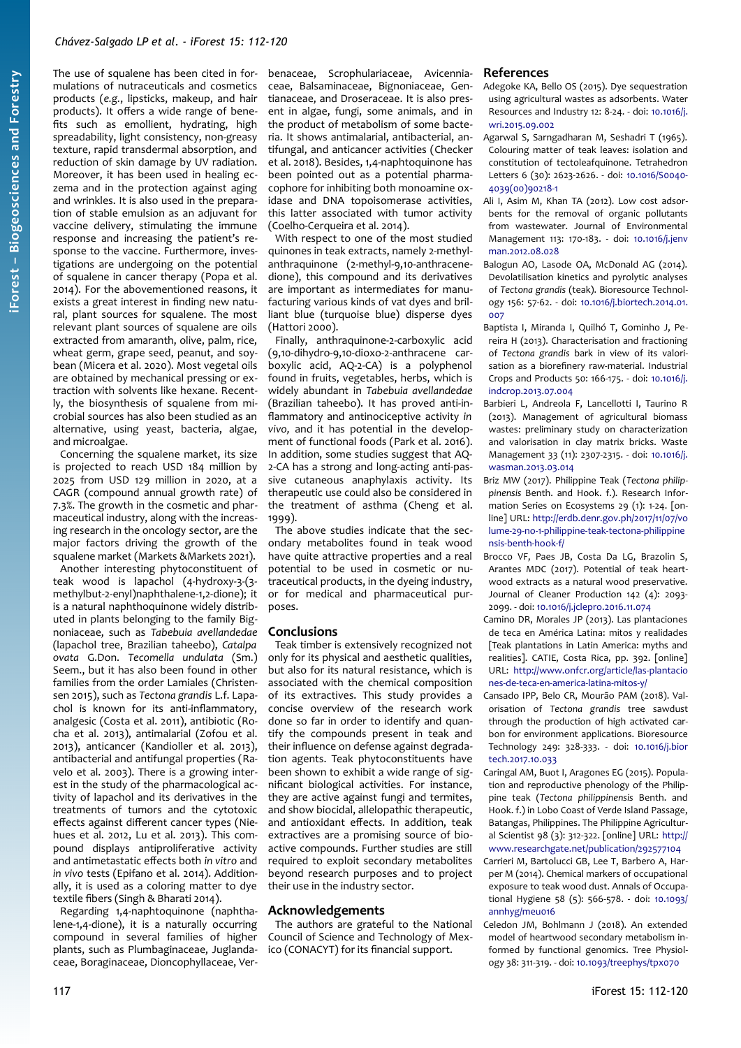## *Chávez-Salgado LP et al. - iForest 15: 112-120*

The use of squalene has been cited in formulations of nutraceuticals and cosmetics products (*e.g.*, lipsticks, makeup, and hair products). It offers a wide range of benefits such as emollient, hydrating, high spreadability, light consistency, non-greasy texture, rapid transdermal absorption, and reduction of skin damage by UV radiation. Moreover, it has been used in healing eczema and in the protection against aging and wrinkles. It is also used in the preparation of stable emulsion as an adjuvant for vaccine delivery, stimulating the immune response and increasing the patient's response to the vaccine. Furthermore, investigations are undergoing on the potential of squalene in cancer therapy (Popa et al. 2014). For the abovementioned reasons, it exists a great interest in finding new natural, plant sources for squalene. The most relevant plant sources of squalene are oils extracted from amaranth, olive, palm, rice, wheat germ, grape seed, peanut, and soybean (Micera et al. 2020). Most vegetal oils are obtained by mechanical pressing or extraction with solvents like hexane. Recently, the biosynthesis of squalene from microbial sources has also been studied as an alternative, using yeast, bacteria, algae, and microalgae.

Concerning the squalene market, its size is projected to reach USD 184 million by 2025 from USD 129 million in 2020, at a CAGR (compound annual growth rate) of 7.3%. The growth in the cosmetic and pharmaceutical industry, along with the increasing research in the oncology sector, are the major factors driving the growth of the squalene market (Markets &Markets 2021).

Another interesting phytoconstituent of teak wood is lapachol (4-hydroxy-3-(3 methylbut-2-enyl)naphthalene-1,2-dione); it is a natural naphthoquinone widely distributed in plants belonging to the family Bignoniaceae, such as *Tabebuia avellandedae* (lapachol tree, Brazilian taheebo), *Catalpa ovata* G.Don. *Tecomella undulata* (Sm.) Seem., but it has also been found in other families from the order Lamiales (Christensen 2015), such as *Tectona grandis* L.f. Lapachol is known for its anti-inflammatory, analgesic (Costa et al. 2011), antibiotic (Rocha et al. 2013), antimalarial (Zofou et al. 2013), anticancer (Kandioller et al. 2013), antibacterial and antifungal properties (Ravelo et al. 2003). There is a growing interest in the study of the pharmacological activity of lapachol and its derivatives in the treatments of tumors and the cytotoxic effects against different cancer types (Niehues et al. 2012, Lu et al. 2013). This compound displays antiproliferative activity and antimetastatic effects both *in vitro* and *in vivo* tests (Epifano et al. 2014). Additionally, it is used as a coloring matter to dye textile fibers (Singh & Bharati 2014).

Regarding 1,4-naphtoquinone (naphthalene-1,4-dione), it is a naturally occurring compound in several families of higher plants, such as Plumbaginaceae, Juglandaceae, Boraginaceae, Dioncophyllaceae, Verbenaceae, Scrophulariaceae, Avicenniaceae, Balsaminaceae, Bignoniaceae, Gentianaceae, and Droseraceae. It is also present in algae, fungi, some animals, and in the product of metabolism of some bacteria. It shows antimalarial, antibacterial, antifungal, and anticancer activities (Checker et al. 2018). Besides, 1,4-naphtoquinone has been pointed out as a potential pharmacophore for inhibiting both monoamine oxidase and DNA topoisomerase activities, this latter associated with tumor activity (Coelho-Cerqueira et al. 2014).

With respect to one of the most studied quinones in teak extracts, namely 2-methylanthraquinone (2-methyl-9,10-anthracenedione), this compound and its derivatives are important as intermediates for manufacturing various kinds of vat dyes and brilliant blue (turquoise blue) disperse dyes (Hattori 2000).

Finally, anthraquinone-2-carboxylic acid (9,10-dihydro-9,10-dioxo-2-anthracene carboxylic acid, AQ-2-CA) is a polyphenol found in fruits, vegetables, herbs, which is widely abundant in *Tabebuia avellandedae* (Brazilian taheebo). It has proved anti-inflammatory and antinociceptive activity *in vivo,* and it has potential in the development of functional foods (Park et al. 2016). In addition, some studies suggest that AQ-2-CA has a strong and long-acting anti-passive cutaneous anaphylaxis activity. Its therapeutic use could also be considered in the treatment of asthma (Cheng et al. 1999).

The above studies indicate that the secondary metabolites found in teak wood have quite attractive properties and a real potential to be used in cosmetic or nutraceutical products, in the dyeing industry, or for medical and pharmaceutical purposes.

## **Conclusions**

Teak timber is extensively recognized not only for its physical and aesthetic qualities, but also for its natural resistance, which is associated with the chemical composition of its extractives. This study provides a concise overview of the research work done so far in order to identify and quantify the compounds present in teak and their influence on defense against degradation agents. Teak phytoconstituents have been shown to exhibit a wide range of significant biological activities. For instance, they are active against fungi and termites, and show biocidal, allelopathic therapeutic, and antioxidant effects. In addition, teak extractives are a promising source of bioactive compounds. Further studies are still required to exploit secondary metabolites beyond research purposes and to project their use in the industry sector.

## **Acknowledgements**

The authors are grateful to the National Council of Science and Technology of Mexico (CONACYT) for its financial support.

# **References**

- Adegoke KA, Bello OS (2015). Dye sequestration using agricultural wastes as adsorbents. Water Resources and Industry 12: 8-24. - doi: [10.1016/j.](https://doi.org/10.1016/j.wri.2015.09.002) [wri.2015.09.002](https://doi.org/10.1016/j.wri.2015.09.002)
- Agarwal S, Sarngadharan M, Seshadri T (1965). Colouring matter of teak leaves: isolation and constitution of tectoleafquinone. Tetrahedron Letters 6 (30): 2623-2626. - doi: [10.1016/S0040-](https://doi.org/10.1016/S0040-4039(00)90218-1) [4039\(00\)90218-1](https://doi.org/10.1016/S0040-4039(00)90218-1)
- Ali I, Asim M, Khan TA (2012). Low cost adsorbents for the removal of organic pollutants from wastewater. Journal of Environmental Management 113: 170-183. - doi: [10.1016/j.jenv](https://doi.org/10.1016/j.jenvman.2012.08.028) [man.2012.08.028](https://doi.org/10.1016/j.jenvman.2012.08.028)
- Balogun AO, Lasode OA, McDonald AG (2014). Devolatilisation kinetics and pyrolytic analyses of *Tectona grandis* (teak). Bioresource Technology 156: 57-62. - doi: [10.1016/j.biortech.2014.01.](https://doi.org/10.1016/j.biortech.2014.01.007)  $007$
- Baptista I, Miranda I, Quilhó T, Gominho J, Pereira H (2013). Characterisation and fractioning of *Tectona grandis* bark in view of its valorisation as a biorefinery raw-material. Industrial Crops and Products 50: 166-175. - doi: [10.1016/j.](https://doi.org/10.1016/j.indcrop.2013.07.004) [indcrop.2013.07.004](https://doi.org/10.1016/j.indcrop.2013.07.004)
- Barbieri L, Andreola F, Lancellotti I, Taurino R (2013). Management of agricultural biomass wastes: preliminary study on characterization and valorisation in clay matrix bricks. Waste Management 33 (11): 2307-2315. - doi: [10.1016/j.](https://doi.org/10.1016/j.wasman.2013.03.014) [wasman.2013.03.014](https://doi.org/10.1016/j.wasman.2013.03.014)
- Briz MW (2017). Philippine Teak (*Tectona philippinensis* Benth. and Hook. f.). Research Information Series on Ecosystems 29 (1): 1-24. [online] URL: [http://erdb.denr.gov.ph/2017/11/07/vo](http://erdb.denr.gov.ph/2017/11/07/volume-29-no-1-philippine-teak-tectona-philippinensis-benth-hook-f/) [lume-29-no-1-philippine-teak-tectona-philippine](http://erdb.denr.gov.ph/2017/11/07/volume-29-no-1-philippine-teak-tectona-philippinensis-benth-hook-f/) [nsis-benth-hook-f/](http://erdb.denr.gov.ph/2017/11/07/volume-29-no-1-philippine-teak-tectona-philippinensis-benth-hook-f/)
- Brocco VF, Paes JB, Costa Da LG, Brazolin S, Arantes MDC (2017). Potential of teak heartwood extracts as a natural wood preservative. Journal of Cleaner Production 142 (4): 2093- 2099. - doi: [10.1016/j.jclepro.2016.11.074](https://doi.org/10.1016/j.jclepro.2016.11.074)
- Camino DR, Morales JP (2013). Las plantaciones de teca en América Latina: mitos y realidades [Teak plantations in Latin America: myths and realities]. CATIE, Costa Rica, pp. 392. [online] URL: [http://www.onfcr.org/article/las-plantacio](http://www.onfcr.org/article/las-plantaciones-de-teca-en-america-latina-mitos-y/) [nes-de-teca-en-america-latina-mitos-y/](http://www.onfcr.org/article/las-plantaciones-de-teca-en-america-latina-mitos-y/)
- Cansado IPP, Belo CR, Mourão PAM (2018). Valorisation of *Tectona grandis* tree sawdust through the production of high activated carbon for environment applications. Bioresource Technology 249: 328-333. - doi: [10.1016/j.bior](https://doi.org/10.1016/j.biortech.2017.10.033) [tech.2017.10.033](https://doi.org/10.1016/j.biortech.2017.10.033)
- Caringal AM, Buot I, Aragones EG (2015). Population and reproductive phenology of the Philippine teak (*Tectona philippinensis* Benth. and Hook. f.) in Lobo Coast of Verde Island Passage, Batangas, Philippines. The Philippine Agricultural Scientist 98 (3): 312-322. [online] URL: [http://](http://www.researchgate.net/publication/292577104) [www.researchgate.net/publication/292577104](http://www.researchgate.net/publication/292577104)
- Carrieri M, Bartolucci GB, Lee T, Barbero A, Harper M (2014). Chemical markers of occupational exposure to teak wood dust. Annals of Occupational Hygiene 58 (5): 566-578. - doi: [10.1093/](https://doi.org/10.1093/annhyg/meu016) [annhyg/meu016](https://doi.org/10.1093/annhyg/meu016)
- Celedon JM, Bohlmann J (2018). An extended model of heartwood secondary metabolism informed by functional genomics. Tree Physiology 38: 311-319. - doi: [10.1093/treephys/tpx070](https://doi.org/10.1093/treephys/tpx070)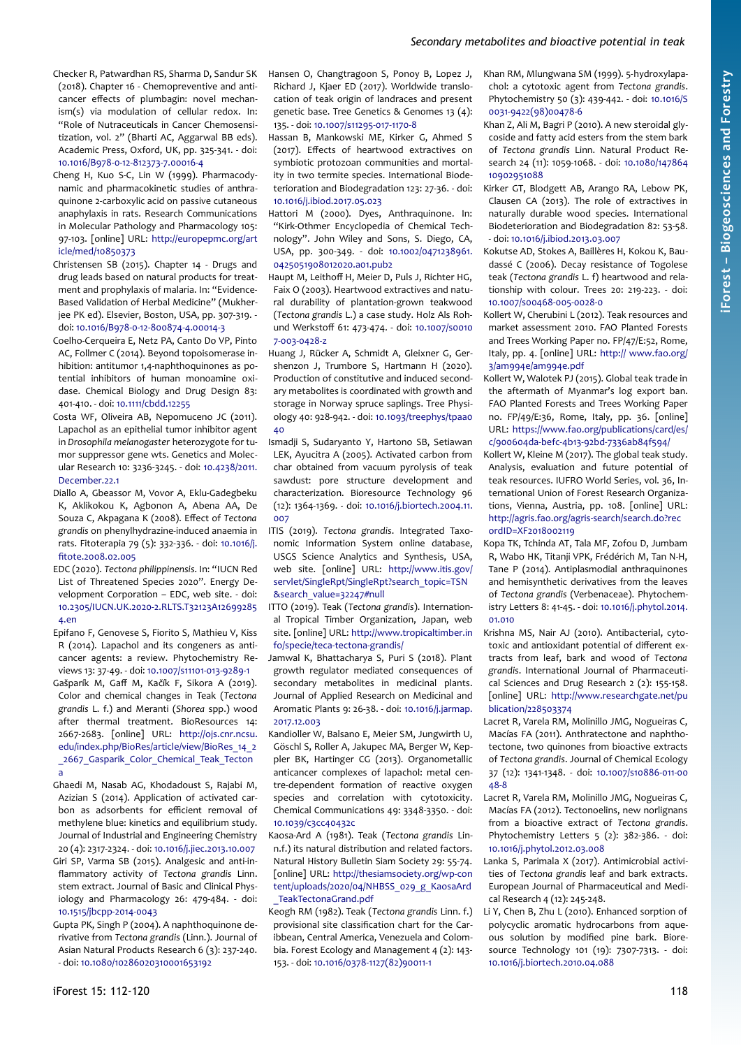- Checker R, Patwardhan RS, Sharma D, Sandur SK (2018). Chapter 16 - Chemopreventive and anticancer effects of plumbagin: novel mechanism(s) via modulation of cellular redox. In: "Role of Nutraceuticals in Cancer Chemosensitization, vol. 2" (Bharti AC, Aggarwal BB eds). Academic Press, Oxford, UK, pp. 325-341. - doi: [10.1016/B978-0-12-812373-7.00016-4](https://doi.org/10.1016/B978-0-12-812373-7.00016-4)
- Cheng H, Kuo S-C, Lin W (1999). Pharmacodynamic and pharmacokinetic studies of anthraquinone 2-carboxylic acid on passive cutaneous anaphylaxis in rats. Research Communications in Molecular Pathology and Pharmacology 105: 97-103. [online] URL: [http://europepmc.org/art](http://europepmc.org/article/med/10850373) [icle/med/10850373](http://europepmc.org/article/med/10850373)
- Christensen SB (2015). Chapter 14 Drugs and drug leads based on natural products for treatment and prophylaxis of malaria. In: "Evidence-Based Validation of Herbal Medicine" (Mukherjee PK ed). Elsevier, Boston, USA, pp. 307-319. doi: [10.1016/B978-0-12-800874-4.00014-3](https://doi.org/10.1016/B978-0-12-800874-4.00014-3)
- Coelho-Cerqueira E, Netz PA, Canto Do VP, Pinto AC, Follmer C (2014). Beyond topoisomerase inhibition: antitumor 1,4-naphthoquinones as potential inhibitors of human monoamine oxidase. Chemical Biology and Drug Design 83: 401-410. - doi: [10.1111/cbdd.12255](https://doi.org/10.1111/cbdd.12255)
- Costa WF, Oliveira AB, Nepomuceno JC (2011). Lapachol as an epithelial tumor inhibitor agent in *Drosophila melanogaster* heterozygote for tumor suppressor gene wts. Genetics and Molecular Research 10: 3236-3245. - doi: [10.4238/2011.](https://doi.org/10.4238/2011.December.22.1) [December.22.1](https://doi.org/10.4238/2011.December.22.1)
- Diallo A, Gbeassor M, Vovor A, Eklu-Gadegbeku K, Aklikokou K, Agbonon A, Abena AA, De Souza C, Akpagana K (2008). Effect of *Tectona grandis* on phenylhydrazine-induced anaemia in rats. Fitoterapia 79 (5): 332-336. - doi: [10.1016/j.](https://doi.org/10.1016/j.fitote.2008.02.005) [fitote.2008.02.005](https://doi.org/10.1016/j.fitote.2008.02.005)
- EDC (2020). *Tectona philippinensis*. In: "IUCN Red List of Threatened Species 2020". Energy Development Corporation – EDC, web site. - doi: [10.2305/IUCN.UK.2020-2.RLTS.T32123A12699285](https://doi.org/10.2305/IUCN.UK.2020-2.RLTS.T32123A126992854.en) [4.en](https://doi.org/10.2305/IUCN.UK.2020-2.RLTS.T32123A126992854.en)
- Epifano F, Genovese S, Fiorito S, Mathieu V, Kiss R (2014). Lapachol and its congeners as anticancer agents: a review. Phytochemistry Reviews 13: 37-49. - doi: [10.1007/s11101-013-9289-1](https://doi.org/10.1007/s11101-013-9289-1)
- Gašparík M, Gaff M, Kačík F, Sikora A (2019). Color and chemical changes in Teak (*Tectona grandis* L. f.) and Meranti (*Shorea* spp.) wood after thermal treatment. BioResources 14: 2667-2683. [online] URL: [http://ojs.cnr.ncsu.](http://ojs.cnr.ncsu.edu/index.php/BioRes/article/view/BioRes_14_2_2667_Gasparik_Color_Chemical_Teak_Tectona) [edu/index.php/BioRes/article/view/BioRes\\_14\\_2](http://ojs.cnr.ncsu.edu/index.php/BioRes/article/view/BioRes_14_2_2667_Gasparik_Color_Chemical_Teak_Tectona) \_2667\_Gasparik\_Color\_Chemical\_Teak\_Tecton [a](http://ojs.cnr.ncsu.edu/index.php/BioRes/article/view/BioRes_14_2_2667_Gasparik_Color_Chemical_Teak_Tectona)
- Ghaedi M, Nasab AG, Khodadoust S, Rajabi M, Azizian S (2014). Application of activated carbon as adsorbents for efficient removal of methylene blue: kinetics and equilibrium study. Journal of Industrial and Engineering Chemistry 20 (4): 2317-2324. - doi: [10.1016/j.jiec.2013.10.007](https://doi.org/10.1016/j.jiec.2013.10.007)
- Giri SP, Varma SB (2015). Analgesic and anti-inflammatory activity of *Tectona grandis* Linn. stem extract. Journal of Basic and Clinical Physiology and Pharmacology 26: 479-484. - doi: [10.1515/jbcpp-2014-0043](https://doi.org/10.1515/jbcpp-2014-0043)
- Gupta PK, Singh P (2004). A naphthoquinone derivative from *Tectona grandis* (Linn.). Journal of Asian Natural Products Research 6 (3): 237-240. - doi: [10.1080/10286020310001653192](https://doi.org/10.1080/10286020310001653192)
- genetic base. Tree Genetics & Genomes 13 (4): 135. - doi: [10.1007/s11295-017-1170-8](https://doi.org/10.1007/s11295-017-1170-8) Hassan B, Mankowski ME, Kirker G, Ahmed S (2017). Effects of heartwood extractives on
	- symbiotic protozoan communities and mortality in two termite species. International Biodeterioration and Biodegradation 123: 27-36. - doi: [10.1016/j.ibiod.2017.05.023](https://doi.org/10.1016/j.ibiod.2017.05.023)

Hansen O, Changtragoon S, Ponoy B, Lopez J, Richard J, Kjaer ED (2017). Worldwide translocation of teak origin of landraces and present

- Hattori M (2000). Dyes, Anthraquinone. In: "Kirk-Othmer Encyclopedia of Chemical Technology". John Wiley and Sons, S. Diego, CA, USA, pp. 300-349. - doi: [10.1002/0471238961.](https://doi.org/10.1002/0471238961.0425051908012020.a01.pub2) [0425051908012020.a01.pub2](https://doi.org/10.1002/0471238961.0425051908012020.a01.pub2)
- Haupt M, Leithoff H, Meier D, Puls J, Richter HG, Faix O (2003). Heartwood extractives and natural durability of plantation-grown teakwood (*Tectona grandis* L.) a case study. Holz Als Rohund Werkstoff 61: 473-474. - doi: [10.1007/s0010](https://doi.org/10.1007/s00107-003-0428-z) [7-003-0428-z](https://doi.org/10.1007/s00107-003-0428-z)
- Huang J, Rücker A, Schmidt A, Gleixner G, Gershenzon J, Trumbore S, Hartmann H (2020). Production of constitutive and induced secondary metabolites is coordinated with growth and storage in Norway spruce saplings. Tree Physiology 40: 928-942. - doi: [10.1093/treephys/tpaa0](https://doi.org/10.1093/treephys/tpaa040) [40](https://doi.org/10.1093/treephys/tpaa040)
- Ismadji S, Sudaryanto Y, Hartono SB, Setiawan LEK, Ayucitra A (2005). Activated carbon from char obtained from vacuum pyrolysis of teak sawdust: pore structure development and characterization. Bioresource Technology 96 (12): 1364-1369. - doi: [10.1016/j.biortech.2004.11.](https://doi.org/10.1016/j.biortech.2004.11.007) [007](https://doi.org/10.1016/j.biortech.2004.11.007)
- ITIS (2019). *Tectona grandis*. Integrated Taxonomic Information System online database, USGS Science Analytics and Synthesis, USA, web site. [online] URL: [http://www.itis.gov/](http://www.itis.gov/servlet/SingleRpt/SingleRpt?search_topic=TSN&search_value=32247#null) [servlet/SingleRpt/SingleRpt?search\\_topic=TSN](http://www.itis.gov/servlet/SingleRpt/SingleRpt?search_topic=TSN&search_value=32247#null) [&search\\_value=32247#null](http://www.itis.gov/servlet/SingleRpt/SingleRpt?search_topic=TSN&search_value=32247#null)
- ITTO (2019). Teak (*Tectona grandis*). International Tropical Timber Organization, Japan, web site. [online] URL: [http://www.tropicaltimber.in](http://www.tropicaltimber.info/specie/teca-tectona-grandis/) [fo/specie/teca-tectona-grandis/](http://www.tropicaltimber.info/specie/teca-tectona-grandis/)
- Jamwal K, Bhattacharya S, Puri S (2018). Plant growth regulator mediated consequences of secondary metabolites in medicinal plants. Journal of Applied Research on Medicinal and Aromatic Plants 9: 26-38. - doi: [10.1016/j.jarmap.](https://doi.org/10.1016/j.jarmap.2017.12.003) [2017.12.003](https://doi.org/10.1016/j.jarmap.2017.12.003)
- Kandioller W, Balsano E, Meier SM, Jungwirth U, Göschl S, Roller A, Jakupec MA, Berger W, Keppler BK, Hartinger CG (2013). Organometallic anticancer complexes of lapachol: metal centre-dependent formation of reactive oxygen species and correlation with cytotoxicity. Chemical Communications 49: 3348-3350. - doi: [10.1039/c3cc40432c](https://doi.org/10.1039/c3cc40432c)
- Kaosa-Ard A (1981). Teak (*Tectona grandis* Linn.f.) its natural distribution and related factors. Natural History Bulletin Siam Society 29: 55-74. [online] URL: [http://thesiamsociety.org/wp-con](https://thesiamsociety.org/wp-content/uploads/2020/04/NHBSS_029_g_KaosaArd_TeakTectonaGrand.pdf) [tent/uploads/2020/04/NHBSS\\_029\\_g\\_KaosaArd](https://thesiamsociety.org/wp-content/uploads/2020/04/NHBSS_029_g_KaosaArd_TeakTectonaGrand.pdf) [\\_TeakTectonaGrand.pdf](https://thesiamsociety.org/wp-content/uploads/2020/04/NHBSS_029_g_KaosaArd_TeakTectonaGrand.pdf)
- Keogh RM (1982). Teak (*Tectona grandis* Linn. f.) provisional site classification chart for the Caribbean, Central America, Venezuela and Colombia. Forest Ecology and Management 4 (2): 143- 153. - doi: [10.1016/0378-1127\(82\)90011-1](https://doi.org/10.1016/0378-1127(82)90011-1)
- Khan RM, Mlungwana SM (1999). 5-hydroxylapachol: a cytotoxic agent from *Tectona grandis*. Phytochemistry 50 (3): 439-442. - doi: [10.1016/S](https://doi.org/10.1016/S0031-9422(98)00478-6) [0031-9422\(98\)00478-6](https://doi.org/10.1016/S0031-9422(98)00478-6)
- Khan Z, Ali M, Bagri P (2010). A new steroidal glycoside and fatty acid esters from the stem bark of *Tectona grandis* Linn. Natural Product Research 24 (11): 1059-1068. - doi: [10.1080/147864](https://doi.org/10.1080/14786410902951088) [10902951088](https://doi.org/10.1080/14786410902951088)
- Kirker GT, Blodgett AB, Arango RA, Lebow PK, Clausen CA (2013). The role of extractives in naturally durable wood species. International Biodeterioration and Biodegradation 82: 53-58. - doi: [10.1016/j.ibiod.2013.03.007](https://doi.org/10.1016/j.ibiod.2013.03.007)
- Kokutse AD, Stokes A, Baillères H, Kokou K, Baudassé C (2006). Decay resistance of Togolese teak (*Tectona grandis* L. f) heartwood and relationship with colour. Trees 20: 219-223. - doi: [10.1007/s00468-005-0028-0](https://doi.org/10.1007/s00468-005-0028-0)
- Kollert W, Cherubini L (2012). Teak resources and market assessment 2010. FAO Planted Forests and Trees Working Paper no. FP/47/E:52, Rome, Italy, pp. 4. [online] URL: [http:// www.fao.org/](http://www.fao.org/3/am994e/am994e.pdf) [3/am994e/am994e.pdf](http://www.fao.org/3/am994e/am994e.pdf)
- Kollert W, Walotek PJ (2015). Global teak trade in the aftermath of Myanmar's log export ban. FAO Planted Forests and Trees Working Paper no. FP/49/E:36, Rome, Italy, pp. 36. [online] URL: [https://www.fao.org/publications/card/es/](https://www.fao.org/publications/card/es/c/900604da-befc-4b13-92bd-7336ab84f594/) [c/900604da-befc-4b13-92bd-7336ab84f594/](https://www.fao.org/publications/card/es/c/900604da-befc-4b13-92bd-7336ab84f594/)
- Kollert W, Kleine M (2017). The global teak study. Analysis, evaluation and future potential of teak resources. IUFRO World Series, vol. 36, International Union of Forest Research Organizations, Vienna, Austria, pp. 108. [online] URL: [http://agris.fao.org/agris-search/search.do?rec](http://agris.fao.org/agris-search/search.do?recordID=XF2018002119) [ordID=XF2018002119](http://agris.fao.org/agris-search/search.do?recordID=XF2018002119)
- Kopa TK, Tchinda AT, Tala MF, Zofou D, Jumbam R, Wabo HK, Titanji VPK, Frédérich M, Tan N-H, Tane P (2014). Antiplasmodial anthraquinones and hemisynthetic derivatives from the leaves of *Tectona grandis* (Verbenaceae). Phytochemistry Letters 8: 41-45. - doi: [10.1016/j.phytol.2014.](https://doi.org/10.1016/j.phytol.2014.01.010) [01.010](https://doi.org/10.1016/j.phytol.2014.01.010)
- Krishna MS, Nair AJ (2010). Antibacterial, cytotoxic and antioxidant potential of different extracts from leaf, bark and wood of *Tectona grandis*. International Journal of Pharmaceutical Sciences and Drug Research 2 (2): 155-158. [online] URL: [http://www.researchgate.net/pu](http://www.researchgate.net/publication/228503374) [blication/228503374](http://www.researchgate.net/publication/228503374)
- Lacret R, Varela RM, Molinillo JMG, Nogueiras C, Macías FA (2011). Anthratectone and naphthotectone, two quinones from bioactive extracts of *Tectona grandis*. Journal of Chemical Ecology 37 (12): 1341-1348. - doi: [10.1007/s10886-011-00](https://doi.org/10.1007/s10886-011-0048-8) [48-8](https://doi.org/10.1007/s10886-011-0048-8)
- Lacret R, Varela RM, Molinillo JMG, Nogueiras C, Macías FA (2012). Tectonoelins, new norlignans from a bioactive extract of *Tectona grandis*. Phytochemistry Letters 5 (2): 382-386. - doi: [10.1016/j.phytol.2012.03.008](https://doi.org/10.1016/j.phytol.2012.03.008)
- Lanka S, Parimala X (2017). Antimicrobial activities of *Tectona grandis* leaf and bark extracts. European Journal of Pharmaceutical and Medical Research 4 (12): 245-248.
- Li Y, Chen B, Zhu L (2010). Enhanced sorption of polycyclic aromatic hydrocarbons from aqueous solution by modified pine bark. Bioresource Technology 101 (19): 7307-7313. - doi: [10.1016/j.biortech.2010.04.088](https://doi.org/10.1016/j.biortech.2010.04.088)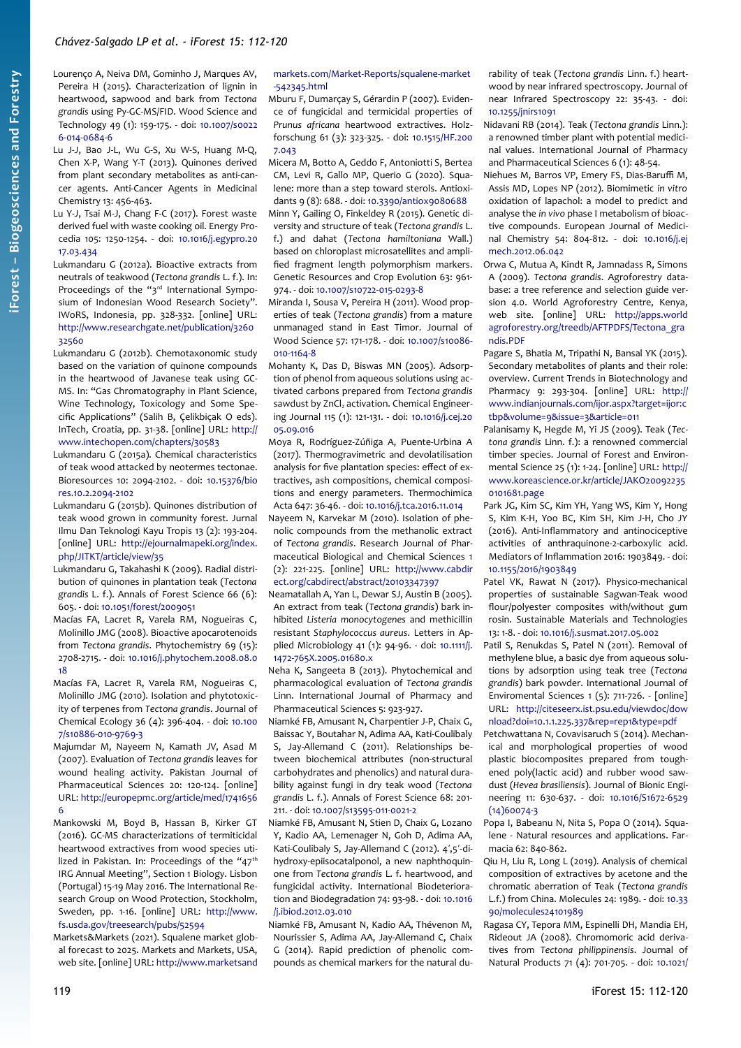- Lourenço A, Neiva DM, Gominho J, Marques AV, Pereira H (2015). Characterization of lignin in heartwood, sapwood and bark from *Tectona grandis* using Py-GC-MS/FID. Wood Science and Technology 49 (1): 159-175. - doi: [10.1007/s0022](https://doi.org/10.1007/s00226-014-0684-6) [6-014-0684-6](https://doi.org/10.1007/s00226-014-0684-6)
- Lu J-J, Bao J-L, Wu G-S, Xu W-S, Huang M-Q, Chen X-P, Wang Y-T (2013). Quinones derived from plant secondary metabolites as anti-cancer agents. Anti-Cancer Agents in Medicinal Chemistry 13: 456-463.
- Lu Y-J, Tsai M-J, Chang F-C (2017). Forest waste derived fuel with waste cooking oil. Energy Procedia 105: 1250-1254. - doi: [10.1016/j.egypro.20](https://doi.org/10.1016/j.egypro.2017.03.434) [17.03.434](https://doi.org/10.1016/j.egypro.2017.03.434)
- Lukmandaru G (2012a). Bioactive extracts from neutrals of teakwood (*Tectona grandis* L. f.). In: Proceedings of the "3rd International Symposium of Indonesian Wood Research Society". IWoRS, Indonesia, pp. 328-332. [online] URL: [http://www.researchgate.net/publication/3260](http://www.researchgate.net/publication/326032560) [32560](http://www.researchgate.net/publication/326032560)
- Lukmandaru G (2012b). Chemotaxonomic study based on the variation of quinone compounds in the heartwood of Javanese teak using GC-MS. In: "Gas Chromatography in Plant Science, Wine Technology, Toxicology and Some Specific Applications" (Salih B, Çelikbiçak O eds). InTech, Croatia, pp. 31-38. [online] URL: [http://](http://www.intechopen.com/chapters/30583) [www.intechopen.com/chapters/30583](http://www.intechopen.com/chapters/30583)
- Lukmandaru G (2015a). Chemical characteristics of teak wood attacked by neotermes tectonae. Bioresources 10: 2094-2102. - doi: [10.15376/bio](https://doi.org/10.15376/biores.10.2.2094-2102) [res.10.2.2094-2102](https://doi.org/10.15376/biores.10.2.2094-2102)
- Lukmandaru G (2015b). Quinones distribution of teak wood grown in community forest. Jurnal Ilmu Dan Teknologi Kayu Tropis 13 (2): 193-204. [online] URL: [http://ejournalmapeki.org/index.](http://ejournalmapeki.org/index.php/JITKT/article/view/35) [php/JITKT/article/view/35](http://ejournalmapeki.org/index.php/JITKT/article/view/35)
- Lukmandaru G, Takahashi K (2009). Radial distribution of quinones in plantation teak (*Tectona grandis* L. f.). Annals of Forest Science 66 (6): 605. - doi: [10.1051/forest/2009051](https://doi.org/10.1051/forest/2009051)
- Macías FA, Lacret R, Varela RM, Nogueiras C, Molinillo JMG (2008). Bioactive apocarotenoids from *Tectona grandis*. Phytochemistry 69 (15): 2708-2715. - doi: [10.1016/j.phytochem.2008.08.0](https://doi.org/10.1016/j.phytochem.2008.08.018) [18](https://doi.org/10.1016/j.phytochem.2008.08.018)
- Macías FA, Lacret R, Varela RM, Nogueiras C, Molinillo JMG (2010). Isolation and phytotoxicity of terpenes from *Tectona grandis*. Journal of Chemical Ecology 36 (4): 396-404. - doi: [10.100](https://doi.org/10.1007/s10886-010-9769-3) [7/s10886-010-9769-3](https://doi.org/10.1007/s10886-010-9769-3)
- Majumdar M, Nayeem N, Kamath JV, Asad M (2007). Evaluation of *Tectona grandis* leaves for wound healing activity. Pakistan Journal of Pharmaceutical Sciences 20: 120-124. [online] URL: [http://europepmc.org/article/med/1741656](http://europepmc.org/article/med/17416566) [6](http://europepmc.org/article/med/17416566)
- Mankowski M, Boyd B, Hassan B, Kirker GT (2016). GC-MS characterizations of termiticidal heartwood extractives from wood species utilized in Pakistan. In: Proceedings of the "47<sup>th</sup> IRG Annual Meeting", Section 1 Biology. Lisbon (Portugal) 15-19 May 2016. The International Research Group on Wood Protection, Stockholm, Sweden, pp. 1-16. [online] URL: [http://www.](http://www.fs.usda.gov/treesearch/pubs/52594) [fs.usda.gov/treesearch/pubs/52594](http://www.fs.usda.gov/treesearch/pubs/52594)
- Markets&Markets (2021). Squalene market global forecast to 2025. Markets and Markets, USA, web site. [online] URL: [http://www.marketsand](http://www.marketsandmarkets.com/Market-Reports/squalene-market-542345.html)

#### [markets.com/Market-Reports/squalene-market](http://www.marketsandmarkets.com/Market-Reports/squalene-market-542345.html) [-542345.html](http://www.marketsandmarkets.com/Market-Reports/squalene-market-542345.html)

Mburu F, Dumarçay S, Gérardin P (2007). Evidence of fungicidal and termicidal properties of *Prunus africana* heartwood extractives. Holzforschung 61 (3): 323-325. - doi: [10.1515/HF.200](https://doi.org/10.1515/HF.2007.043) [7.043](https://doi.org/10.1515/HF.2007.043)

Micera M, Botto A, Geddo F, Antoniotti S, Bertea CM, Levi R, Gallo MP, Querio G (2020). Squalene: more than a step toward sterols. Antioxidants 9 (8): 688. - doi: [10.3390/antiox9080688](https://doi.org/10.3390/antiox9080688) Minn Y, Gailing O, Finkeldey R (2015). Genetic diversity and structure of teak (*Tectona grandis* L. f.) and dahat (*Tectona hamiltoniana* Wall.) based on chloroplast microsatellites and amplified fragment length polymorphism markers. Genetic Resources and Crop Evolution 63: 961- 974. - doi: [10.1007/s10722-015-0293-8](https://doi.org/10.1007/s10722-015-0293-8)

Miranda I, Sousa V, Pereira H (2011). Wood properties of teak (*Tectona grandis*) from a mature unmanaged stand in East Timor. Journal of Wood Science 57: 171-178. - doi: [10.1007/s10086-](https://doi.org/10.1007/s10086-010-1164-8) [010-1164-8](https://doi.org/10.1007/s10086-010-1164-8)

Mohanty K, Das D, Biswas MN (2005). Adsorption of phenol from aqueous solutions using activated carbons prepared from *Tectona grandis* sawdust by ZnCl2 activation. Chemical Engineering Journal 115 (1): 121-131. - doi: [10.1016/j.cej.20](https://doi.org/10.1016/j.cej.2005.09.016) [05.09.016](https://doi.org/10.1016/j.cej.2005.09.016)

Moya R, Rodríguez-Zúñiga A, Puente-Urbina A (2017). Thermogravimetric and devolatilisation analysis for five plantation species: effect of extractives, ash compositions, chemical compositions and energy parameters. Thermochimica Acta 647: 36-46. - doi: [10.1016/j.tca.2016.11.014](https://doi.org/10.1016/j.tca.2016.11.014)

Nayeem N, Karvekar M (2010). Isolation of phenolic compounds from the methanolic extract of *Tectona grandis*. Research Journal of Pharmaceutical Biological and Chemical Sciences 1 (2): 221-225. [online] URL: [http://www.cabdir](http://www.cabdirect.org/cabdirect/abstract/20103347397) [ect.org/cabdirect/abstract/20103347397](http://www.cabdirect.org/cabdirect/abstract/20103347397)

Neamatallah A, Yan L, Dewar SJ, Austin B (2005). An extract from teak (*Tectona grandis*) bark inhibited *Listeria monocytogenes* and methicillin resistant *Staphylococcus aureus*. Letters in Applied Microbiology 41 (1): 94-96. - doi: [10.1111/j.](https://doi.org/10.1111/j.1472-765X.2005.01680.x) [1472-765X.2005.01680.x](https://doi.org/10.1111/j.1472-765X.2005.01680.x)

Neha K, Sangeeta B (2013). Phytochemical and pharmacological evaluation of *Tectona grandis* Linn. International Journal of Pharmacy and Pharmaceutical Sciences 5: 923-927.

- Niamké FB, Amusant N, Charpentier J-P, Chaix G, Baissac Y, Boutahar N, Adima AA, Kati-Coulibaly S, Jay-Allemand C (2011). Relationships between biochemical attributes (non-structural carbohydrates and phenolics) and natural durability against fungi in dry teak wood (*Tectona grandis* L. f.). Annals of Forest Science 68: 201- 211. - doi: [10.1007/s13595-011-0021-2](https://doi.org/10.1007/s13595-011-0021-2)
- Niamké FB, Amusant N, Stien D, Chaix G, Lozano Y, Kadio AA, Lemenager N, Goh D, Adima AA, Kati-Coulibaly S, Jay-Allemand C (2012). 4',5'-dihydroxy-epiisocatalponol, a new naphthoquinone from *Tectona grandis* L. f. heartwood, and fungicidal activity. International Biodeterioration and Biodegradation 74: 93-98. - doi: [10.1016](https://doi.org/10.1016/j.ibiod.2012.03.010) [/j.ibiod.2012.03.010](https://doi.org/10.1016/j.ibiod.2012.03.010)
- Niamké FB, Amusant N, Kadio AA, Thévenon M, Nourissier S, Adima AA, Jay-Allemand C, Chaix G (2014). Rapid prediction of phenolic compounds as chemical markers for the natural du-

rability of teak (*Tectona grandis* Linn. f.) heartwood by near infrared spectroscopy. Journal of near Infrared Spectroscopy 22: 35-43. - doi: [10.1255/jnirs1091](https://doi.org/10.1255/jnirs1091)

- Nidavani RB (2014). Teak (*Tectona grandis* Linn.): a renowned timber plant with potential medicinal values. International Journal of Pharmacy and Pharmaceutical Sciences 6 (1): 48-54.
- Niehues M, Barros VP, Emery FS, Dias-Baruffi M, Assis MD, Lopes NP (2012). Biomimetic *in vitro* oxidation of lapachol: a model to predict and analyse the *in vivo* phase I metabolism of bioactive compounds. European Journal of Medicinal Chemistry 54: 804-812. - doi: [10.1016/j.ej](https://doi.org/10.1016/j.ejmech.2012.06.042) [mech.2012.06.042](https://doi.org/10.1016/j.ejmech.2012.06.042)
- Orwa C, Mutua A, Kindt R, Jamnadass R, Simons A (2009). *Tectona grandis*. Agroforestry database: a tree reference and selection guide version 4.0. World Agroforestry Centre, Kenya, web site. [online] URL: [http://apps.world](http://apps.worldagroforestry.org/treedb/AFTPDFS/Tectona_grandis.PDF) [agroforestry.org/treedb/AFTPDFS/Tectona\\_gra](http://apps.worldagroforestry.org/treedb/AFTPDFS/Tectona_grandis.PDF) [ndis.PDF](http://apps.worldagroforestry.org/treedb/AFTPDFS/Tectona_grandis.PDF)
- Pagare S, Bhatia M, Tripathi N, Bansal YK (2015). Secondary metabolites of plants and their role: overview. Current Trends in Biotechnology and Pharmacy 9: 293-304. [online] URL: [http://](http://www.indianjournals.com/ijor.aspx?target=ijor:ctbp&volume=9&issue=3&article=011) [www.indianjournals.com/ijor.aspx?target=ijor:c](http://www.indianjournals.com/ijor.aspx?target=ijor:ctbp&volume=9&issue=3&article=011) [tbp&volume=9&issue=3&article=011](http://www.indianjournals.com/ijor.aspx?target=ijor:ctbp&volume=9&issue=3&article=011)
- Palanisamy K, Hegde M, Yi JS (2009). Teak (*Tectona grandis* Linn. f.): a renowned commercial timber species. Journal of Forest and Environmental Science 25 (1): 1-24. [online] URL: [http://](http://www.koreascience.or.kr/article/JAKO200922350101681.page) [www.koreascience.or.kr/article/JAKO20092235](http://www.koreascience.or.kr/article/JAKO200922350101681.page) [0101681.page](http://www.koreascience.or.kr/article/JAKO200922350101681.page)
- Park JG, Kim SC, Kim YH, Yang WS, Kim Y, Hong S, Kim K-H, Yoo BC, Kim SH, Kim J-H, Cho JY (2016). Anti-Inflammatory and antinociceptive activities of anthraquinone-2-carboxylic acid. Mediators of Inflammation 2016: 1903849. - doi: [10.1155/2016/1903849](https://doi.org/10.1155/2016/1903849)
- Patel VK, Rawat N (2017). Physico-mechanical properties of sustainable Sagwan-Teak wood flour/polyester composites with/without gum rosin. Sustainable Materials and Technologies 13: 1-8. - doi: [10.1016/j.susmat.2017.05.002](https://doi.org/10.1016/j.susmat.2017.05.002)
- Patil S, Renukdas S, Patel N (2011). Removal of methylene blue, a basic dye from aqueous solutions by adsorption using teak tree (*Tectona grandis*) bark powder. International Journal of Enviromental Sciences 1 (5): 711-726. - [online] URL: [http://citeseerx.ist.psu.edu/viewdoc/dow](http://citeseerx.ist.psu.edu/viewdoc/download?doi=10.1.1.225.337&rep=rep1&type=pdf) [nload?doi=10.1.1.225.337&rep=rep1&type=pdf](http://citeseerx.ist.psu.edu/viewdoc/download?doi=10.1.1.225.337&rep=rep1&type=pdf)
- Petchwattana N, Covavisaruch S (2014). Mechanical and morphological properties of wood plastic biocomposites prepared from toughened poly(lactic acid) and rubber wood sawdust (*Hevea brasiliensis*). Journal of Bionic Engineering 11: 630-637. - doi: [10.1016/S1672-6529](https://doi.org/10.1016/S1672-6529(14)60074-3) [\(14\)60074-3](https://doi.org/10.1016/S1672-6529(14)60074-3)
- Popa I, Babeanu N, Nita S, Popa O (2014). Squalene - Natural resources and applications. Farmacia 62: 840-862.
- Qiu H, Liu R, Long L (2019). Analysis of chemical composition of extractives by acetone and the chromatic aberration of Teak (*Tectona grandis* L.f.) from China. Molecules 24: 1989. - doi: [10.33](https://doi.org/10.3390/molecules24101989) [90/molecules24101989](https://doi.org/10.3390/molecules24101989)
- Ragasa CY, Tepora MM, Espinelli DH, Mandia EH, Rideout JA (2008). Chromomoric acid derivatives from *Tectona philippinensis*. Journal of Natural Products 71 (4): 701-705. - doi: [10.1021/](https://doi.org/10.1021/np0704304)